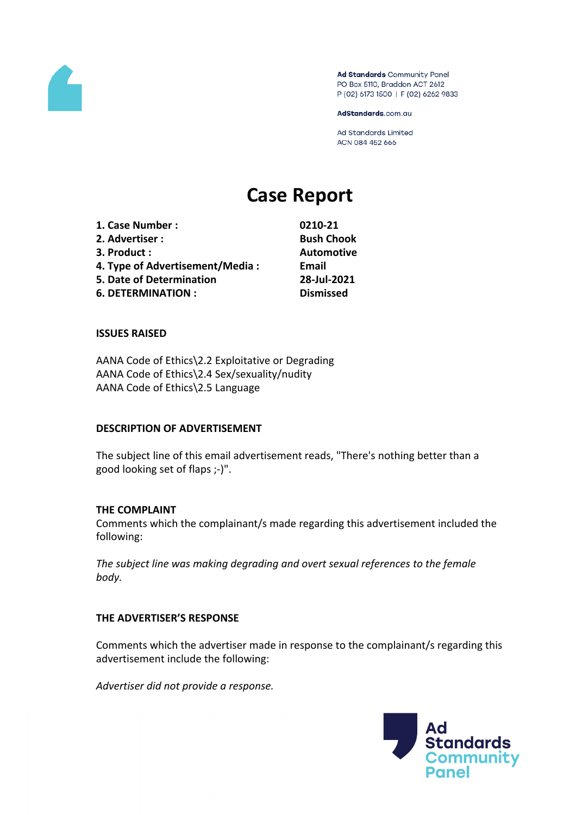

Ad Standards Community Panel PO Box 5110, Braddon ACT 2612 P (02) 6173 1500 | F (02) 6262 9833

AdStandards.com.au

Ad Standards Limited ACN 084 452 666

# **Case Report**

| 1. Case Number :                                                                                                          | 0210-                               |              |
|---------------------------------------------------------------------------------------------------------------------------|-------------------------------------|--------------|
| 2. Advertiser :<br>3. Product:<br>4. Type of Advertisement/Media:<br>5. Date of Determination<br><b>6. DETERMINATION:</b> | Bush<br>Autor<br>Email<br>$28 - Ju$ |              |
|                                                                                                                           |                                     | <b>Dismi</b> |

**1. Case Number : 0210-21 2. Advertiser : Bush Chook 3. Product : Automotive 5. Date of Determination 28-Jul-2021**  $\mathbf{is}$  **missed** 

### **ISSUES RAISED**

AANA Code of Ethics\2.2 Exploitative or Degrading AANA Code of Ethics\2.4 Sex/sexuality/nudity AANA Code of Ethics\2.5 Language

#### **DESCRIPTION OF ADVERTISEMENT**

The subject line of this email advertisement reads, "There's nothing better than a good looking set of flaps ;-)".

#### **THE COMPLAINT**

Comments which the complainant/s made regarding this advertisement included the following:

*The subject line was making degrading and overt sexual references to the female body.*

#### **THE ADVERTISER'S RESPONSE**

Comments which the advertiser made in response to the complainant/s regarding this advertisement include the following:

*Advertiser did not provide a response.*

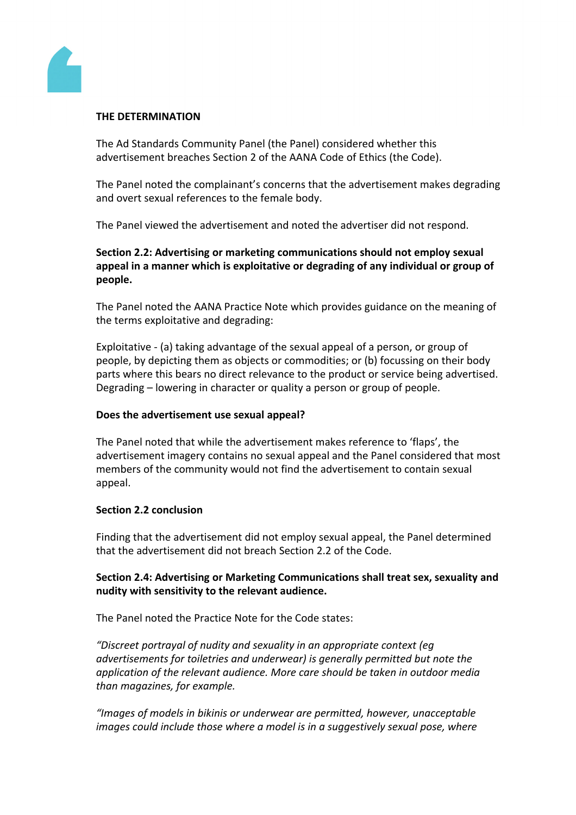

## **THE DETERMINATION**

The Ad Standards Community Panel (the Panel) considered whether this advertisement breaches Section 2 of the AANA Code of Ethics (the Code).

The Panel noted the complainant's concerns that the advertisement makes degrading and overt sexual references to the female body.

The Panel viewed the advertisement and noted the advertiser did not respond.

**Section 2.2: Advertising or marketing communications should not employ sexual appeal in a manner which is exploitative or degrading of any individual or group of people.**

The Panel noted the AANA Practice Note which provides guidance on the meaning of the terms exploitative and degrading:

Exploitative - (a) taking advantage of the sexual appeal of a person, or group of people, by depicting them as objects or commodities; or (b) focussing on their body parts where this bears no direct relevance to the product or service being advertised. Degrading – lowering in character or quality a person or group of people.

# **Does the advertisement use sexual appeal?**

The Panel noted that while the advertisement makes reference to 'flaps', the advertisement imagery contains no sexual appeal and the Panel considered that most members of the community would not find the advertisement to contain sexual appeal.

#### **Section 2.2 conclusion**

Finding that the advertisement did not employ sexual appeal, the Panel determined that the advertisement did not breach Section 2.2 of the Code.

# **Section 2.4: Advertising or Marketing Communications shall treat sex, sexuality and nudity with sensitivity to the relevant audience.**

The Panel noted the Practice Note for the Code states:

*"Discreet portrayal of nudity and sexuality in an appropriate context (eg advertisements for toiletries and underwear) is generally permitted but note the application of the relevant audience. More care should be taken in outdoor media than magazines, for example.*

*"Images of models in bikinis or underwear are permitted, however, unacceptable images could include those where a model is in a suggestively sexual pose, where*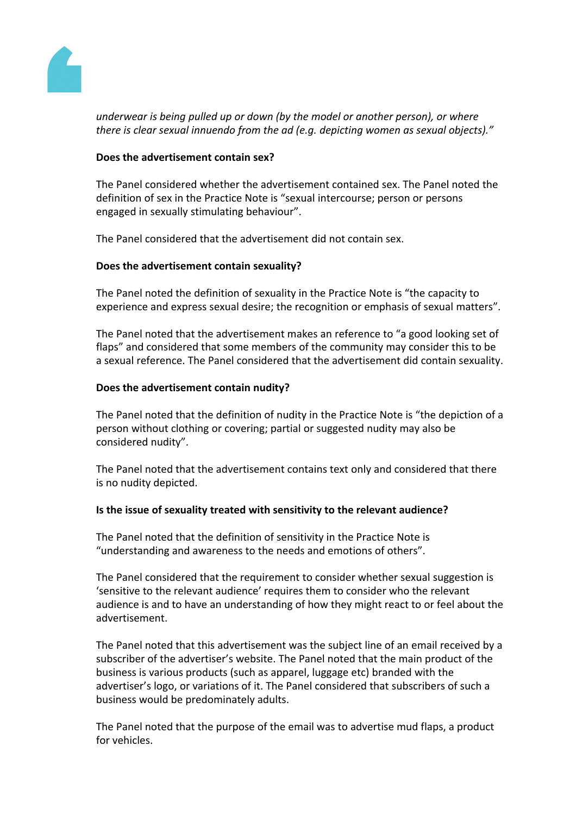

*underwear is being pulled up or down (by the model or another person), or where there is clear sexual innuendo from the ad (e.g. depicting women as sexual objects)."*

# **Does the advertisement contain sex?**

The Panel considered whether the advertisement contained sex. The Panel noted the definition of sex in the Practice Note is "sexual intercourse; person or persons engaged in sexually stimulating behaviour".

The Panel considered that the advertisement did not contain sex.

# **Does the advertisement contain sexuality?**

The Panel noted the definition of sexuality in the Practice Note is "the capacity to experience and express sexual desire; the recognition or emphasis of sexual matters".

The Panel noted that the advertisement makes an reference to "a good looking set of flaps" and considered that some members of the community may consider this to be a sexual reference. The Panel considered that the advertisement did contain sexuality.

# **Does the advertisement contain nudity?**

The Panel noted that the definition of nudity in the Practice Note is "the depiction of a person without clothing or covering; partial or suggested nudity may also be considered nudity".

The Panel noted that the advertisement contains text only and considered that there is no nudity depicted.

# **Is the issue of sexuality treated with sensitivity to the relevant audience?**

The Panel noted that the definition of sensitivity in the Practice Note is "understanding and awareness to the needs and emotions of others".

The Panel considered that the requirement to consider whether sexual suggestion is 'sensitive to the relevant audience' requires them to consider who the relevant audience is and to have an understanding of how they might react to or feel about the advertisement.

The Panel noted that this advertisement was the subject line of an email received by a subscriber of the advertiser's website. The Panel noted that the main product of the business is various products (such as apparel, luggage etc) branded with the advertiser's logo, or variations of it. The Panel considered that subscribers of such a business would be predominately adults.

The Panel noted that the purpose of the email was to advertise mud flaps, a product for vehicles.